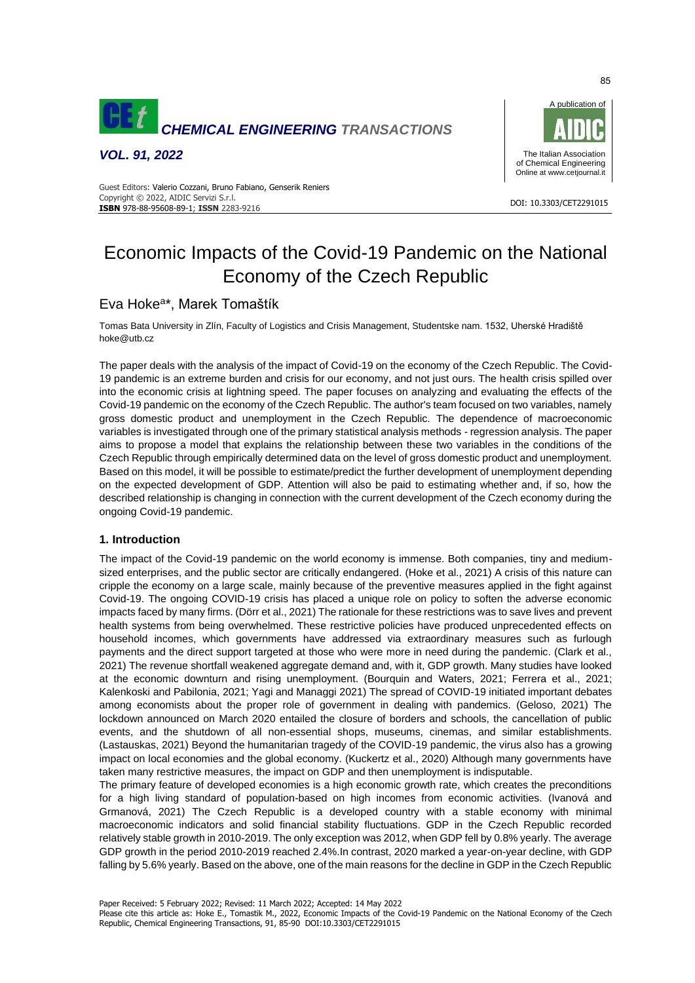

*VOL. 91, 2022*



#### DOI: 10.3303/CET2291015 **ISBN** 978-88-95608-89-1; **ISSN** 2283-9216 Guest Editors: Valerio Cozzani, Bruno Fabiano, Genserik Reniers Copyright © 2022, AIDIC Servizi S.r.l.

# Economic Impacts of the Covid-19 Pandemic on the National Economy of the Czech Republic

# Eva Hoke<sup>a\*</sup>, Marek Tomaštík

Tomas Bata University in Zlín, Faculty of Logistics and Crisis Management, Studentske nam. 1532, Uherské Hradiště hoke@utb.cz

The paper deals with the analysis of the impact of Covid-19 on the economy of the Czech Republic. The Covid-19 pandemic is an extreme burden and crisis for our economy, and not just ours. The health crisis spilled over into the economic crisis at lightning speed. The paper focuses on analyzing and evaluating the effects of the Covid-19 pandemic on the economy of the Czech Republic. The author's team focused on two variables, namely gross domestic product and unemployment in the Czech Republic. The dependence of macroeconomic variables is investigated through one of the primary statistical analysis methods - regression analysis. The paper aims to propose a model that explains the relationship between these two variables in the conditions of the Czech Republic through empirically determined data on the level of gross domestic product and unemployment. Based on this model, it will be possible to estimate/predict the further development of unemployment depending on the expected development of GDP. Attention will also be paid to estimating whether and, if so, how the described relationship is changing in connection with the current development of the Czech economy during the ongoing Covid-19 pandemic.

# **1. Introduction**

The impact of the Covid-19 pandemic on the world economy is immense. Both companies, tiny and mediumsized enterprises, and the public sector are critically endangered. (Hoke et al., 2021) A crisis of this nature can cripple the economy on a large scale, mainly because of the preventive measures applied in the fight against Covid-19. The ongoing COVID-19 crisis has placed a unique role on policy to soften the adverse economic impacts faced by many firms. (Dörr et al., 2021) The rationale for these restrictions was to save lives and prevent health systems from being overwhelmed. These restrictive policies have produced unprecedented effects on household incomes, which governments have addressed via extraordinary measures such as furlough payments and the direct support targeted at those who were more in need during the pandemic. (Clark et al., 2021) The revenue shortfall weakened aggregate demand and, with it, GDP growth. Many studies have looked at the economic downturn and rising unemployment. (Bourquin and Waters, 2021; Ferrera et al., 2021; Kalenkoski and Pabilonia, 2021; Yagi and Managgi 2021) The spread of COVID-19 initiated important debates among economists about the proper role of government in dealing with pandemics. (Geloso, 2021) The lockdown announced on March 2020 entailed the closure of borders and schools, the cancellation of public events, and the shutdown of all non-essential shops, museums, cinemas, and similar establishments. (Lastauskas, 2021) Beyond the humanitarian tragedy of the COVID-19 pandemic, the virus also has a growing impact on local economies and the global economy. (Kuckertz et al., 2020) Although many governments have taken many restrictive measures, the impact on GDP and then unemployment is indisputable.

The primary feature of developed economies is a high economic growth rate, which creates the preconditions for a high living standard of population-based on high incomes from economic activities. (Ivanová and Grmanová, 2021) The Czech Republic is a developed country with a stable economy with minimal macroeconomic indicators and solid financial stability fluctuations. GDP in the Czech Republic recorded relatively stable growth in 2010-2019. The only exception was 2012, when GDP fell by 0.8% yearly. The average GDP growth in the period 2010-2019 reached 2.4%.In contrast, 2020 marked a year-on-year decline, with GDP falling by 5.6% yearly. Based on the above, one of the main reasons for the decline in GDP in the Czech Republic

Please cite this article as: Hoke E., Tomastik M., 2022, Economic Impacts of the Covid-19 Pandemic on the National Economy of the Czech Republic, Chemical Engineering Transactions, 91, 85-90 DOI:10.3303/CET2291015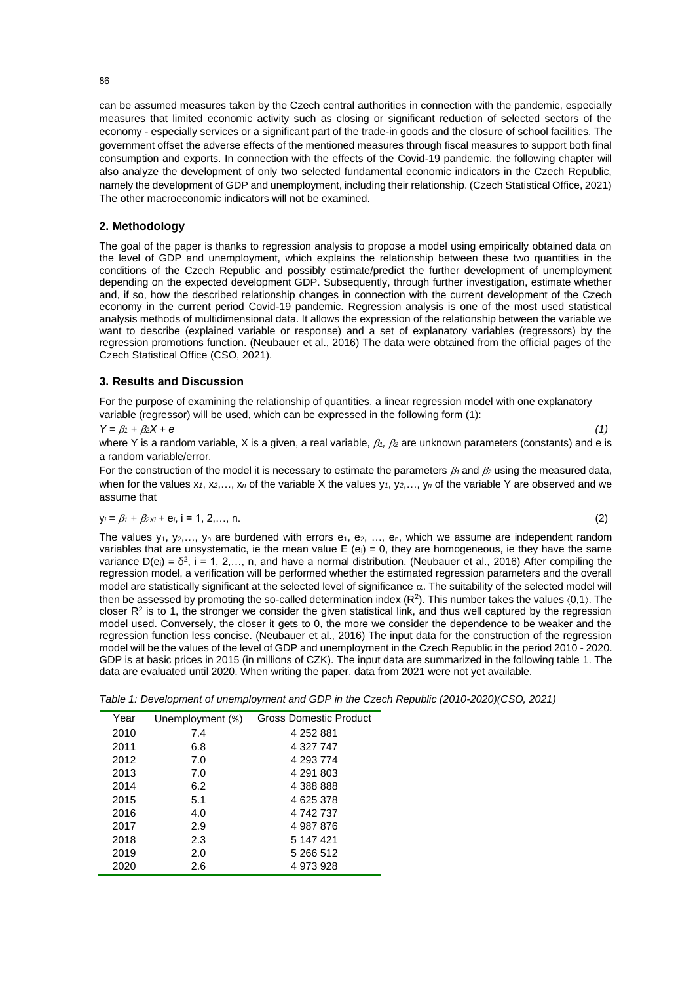can be assumed measures taken by the Czech central authorities in connection with the pandemic, especially measures that limited economic activity such as closing or significant reduction of selected sectors of the economy - especially services or a significant part of the trade-in goods and the closure of school facilities. The government offset the adverse effects of the mentioned measures through fiscal measures to support both final consumption and exports. In connection with the effects of the Covid-19 pandemic, the following chapter will also analyze the development of only two selected fundamental economic indicators in the Czech Republic, namely the development of GDP and unemployment, including their relationship. (Czech Statistical Office, 2021) The other macroeconomic indicators will not be examined.

## **2. Methodology**

The goal of the paper is thanks to regression analysis to propose a model using empirically obtained data on the level of GDP and unemployment, which explains the relationship between these two quantities in the conditions of the Czech Republic and possibly estimate/predict the further development of unemployment depending on the expected development GDP. Subsequently, through further investigation, estimate whether and, if so, how the described relationship changes in connection with the current development of the Czech economy in the current period Covid-19 pandemic. Regression analysis is one of the most used statistical analysis methods of multidimensional data. It allows the expression of the relationship between the variable we want to describe (explained variable or response) and a set of explanatory variables (regressors) by the regression promotions function. (Neubauer et al., 2016) The data were obtained from the official pages of the Czech Statistical Office (CSO, 2021).

## **3. Results and Discussion**

For the purpose of examining the relationship of quantities, a linear regression model with one explanatory variable (regressor) will be used, which can be expressed in the following form (1):

 $Y = \beta_1 + \beta_2 X + e$  (1)

where Y is a random variable, X is a given, a real variable,  $\beta_1$ ,  $\beta_2$  are unknown parameters (constants) and e is a random variable/error.

For the construction of the model it is necessary to estimate the parameters  $\beta_1$  and  $\beta_2$  using the measured data, when for the values  $x_1, x_2,..., x_n$  of the variable X the values  $y_1, y_2,..., y_n$  of the variable Y are observed and we assume that

$$
y_i = \beta_1 + \beta_2 x_i + e_i, \ i = 1, 2, \dots, n. \tag{2}
$$

The values  $y_1, y_2,..., y_n$  are burdened with errors  $e_1, e_2, ..., e_n$ , which we assume are independent random variables that are unsystematic, ie the mean value  $E (e_i) = 0$ , they are homogeneous, ie they have the same variance  $D(e_i) = \delta^2$ , i = 1, 2,..., n, and have a normal distribution. (Neubauer et al., 2016) After compiling the regression model, a verification will be performed whether the estimated regression parameters and the overall model are statistically significant at the selected level of significance  $\alpha$ . The suitability of the selected model will then be assessed by promoting the so-called determination index ( $R^2$ ). This number takes the values  $(0,1)$ . The closer  $R<sup>2</sup>$  is to 1, the stronger we consider the given statistical link, and thus well captured by the regression model used. Conversely, the closer it gets to 0, the more we consider the dependence to be weaker and the regression function less concise. (Neubauer et al., 2016) The input data for the construction of the regression model will be the values of the level of GDP and unemployment in the Czech Republic in the period 2010 - 2020. GDP is at basic prices in 2015 (in millions of CZK). The input data are summarized in the following table 1. The data are evaluated until 2020. When writing the paper, data from 2021 were not yet available.

*Table 1: Development of unemployment and GDP in the Czech Republic (2010-2020)(CSO, 2021)*

| Year | Unemployment (%) | <b>Gross Domestic Product</b> |
|------|------------------|-------------------------------|
| 2010 | 7.4              | 4 252 881                     |
| 2011 | 6.8              | 4 327 747                     |
| 2012 | 7.0              | 4 293 774                     |
| 2013 | 7.0              | 4 291 803                     |
| 2014 | 6.2              | 4 388 888                     |
| 2015 | 5.1              | 4 625 378                     |
| 2016 | 4.0              | 4 742 737                     |
| 2017 | 2.9              | 4 987 876                     |
| 2018 | 2.3              | 5 147 421                     |
| 2019 | 2.0              | 5 266 512                     |
| 2020 | 2.6              | 4 973 928                     |

#### 86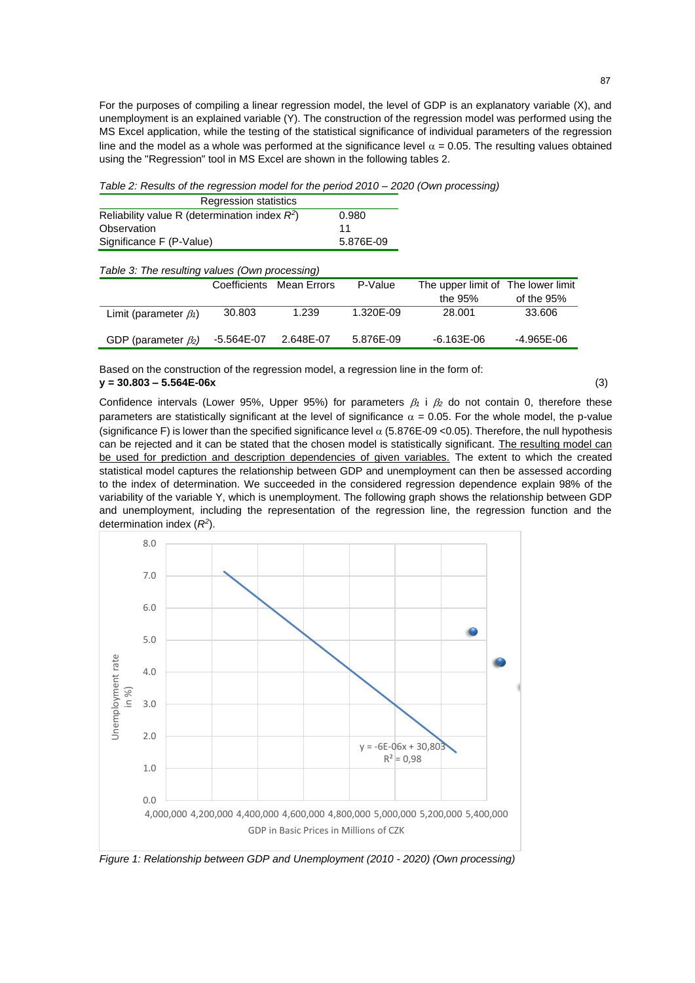For the purposes of compiling a linear regression model, the level of GDP is an explanatory variable (X), and unemployment is an explained variable (Y). The construction of the regression model was performed using the MS Excel application, while the testing of the statistical significance of individual parameters of the regression line and the model as a whole was performed at the significance level  $\alpha$  = 0.05. The resulting values obtained using the "Regression" tool in MS Excel are shown in the following tables 2.

*Table 2: Results of the regression model for the period 2010 – 2020 (Own processing)*

| <b>Regression statistics</b>                     |           |
|--------------------------------------------------|-----------|
| Reliability value R (determination index $R^2$ ) | 0.980     |
| Observation                                      | 11        |
| Significance F (P-Value)                         | 5.876E-09 |

| Table 3: The resulting values (Own processing) |  |
|------------------------------------------------|--|
|------------------------------------------------|--|

|                              |            | Coefficients Mean Errors | P-Value   | The upper limit of The lower limit |               |
|------------------------------|------------|--------------------------|-----------|------------------------------------|---------------|
|                              |            |                          |           | the 95%                            | of the $95\%$ |
| Limit (parameter $\beta_1$ ) | 30.803     | 1.239                    | 1.320E-09 | 28.001                             | 33.606        |
| GDP (parameter $\beta_2$ )   | -5.564E-07 | 2.648E-07                | 5.876E-09 | $-6.163E-06$                       | -4.965E-06    |

Based on the construction of the regression model, a regression line in the form of: **y = 30.803 – 5.564E-06x** (3)

Confidence intervals (Lower 95%, Upper 95%) for parameters  $\beta_1$  i  $\beta_2$  do not contain 0, therefore these parameters are statistically significant at the level of significance  $\alpha = 0.05$ . For the whole model, the p-value (significance F) is lower than the specified significance level  $\alpha$  (5.876E-09 <0.05). Therefore, the null hypothesis can be rejected and it can be stated that the chosen model is statistically significant. The resulting model can be used for prediction and description dependencies of given variables. The extent to which the created statistical model captures the relationship between GDP and unemployment can then be assessed according to the index of determination. We succeeded in the considered regression dependence explain 98% of the variability of the variable Y, which is unemployment. The following graph shows the relationship between GDP and unemployment, including the representation of the regression line, the regression function and the determination index (*R<sup>2</sup>* ).



*Figure 1: Relationship between GDP and Unemployment (2010 - 2020) (Own processing)*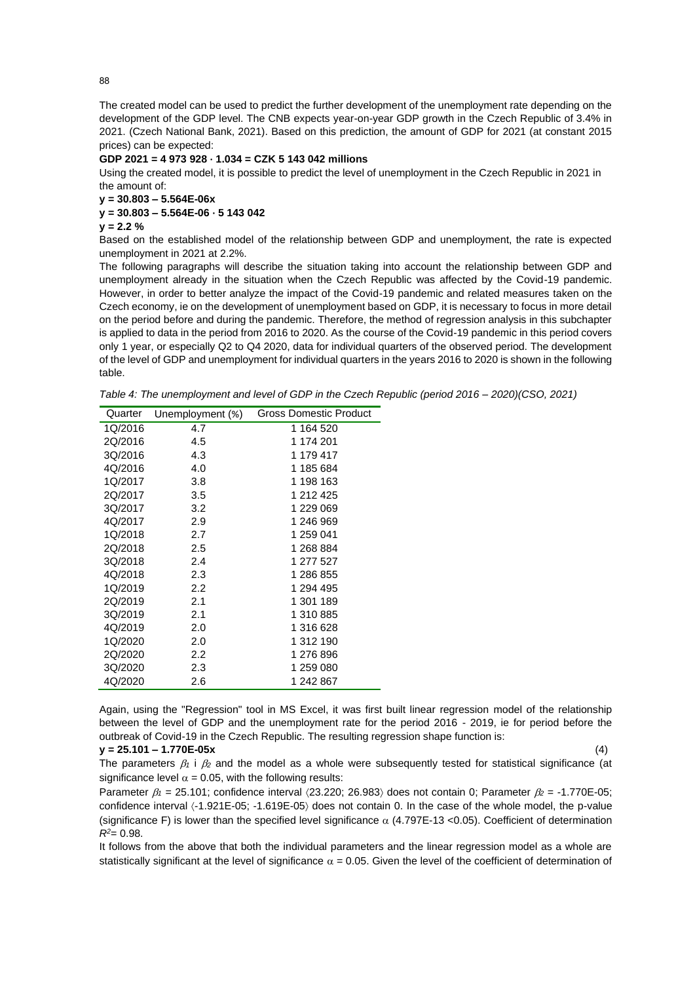The created model can be used to predict the further development of the unemployment rate depending on the development of the GDP level. The CNB expects year-on-year GDP growth in the Czech Republic of 3.4% in 2021. (Czech National Bank, 2021). Based on this prediction, the amount of GDP for 2021 (at constant 2015 prices) can be expected:

### **GDP 2021 = 4 973 928 · 1.034 = CZK 5 143 042 millions**

Using the created model, it is possible to predict the level of unemployment in the Czech Republic in 2021 in the amount of:

**y = 30.803 – 5.564E-06x**

#### **y = 30.803 – 5.564E-06 · 5 143 042**

**y = 2.2 %**

Based on the established model of the relationship between GDP and unemployment, the rate is expected unemployment in 2021 at 2.2%.

The following paragraphs will describe the situation taking into account the relationship between GDP and unemployment already in the situation when the Czech Republic was affected by the Covid-19 pandemic. However, in order to better analyze the impact of the Covid-19 pandemic and related measures taken on the Czech economy, ie on the development of unemployment based on GDP, it is necessary to focus in more detail on the period before and during the pandemic. Therefore, the method of regression analysis in this subchapter is applied to data in the period from 2016 to 2020. As the course of the Covid-19 pandemic in this period covers only 1 year, or especially Q2 to Q4 2020, data for individual quarters of the observed period. The development of the level of GDP and unemployment for individual quarters in the years 2016 to 2020 is shown in the following table.

| Table 4: The unemployment and level of GDP in the Czech Republic (period 2016 – 2020)(CSO, 2021) |  |  |
|--------------------------------------------------------------------------------------------------|--|--|
|--------------------------------------------------------------------------------------------------|--|--|

| Quarter | Unemployment (%) | Gross Domestic Product |
|---------|------------------|------------------------|
| 1Q/2016 | 4.7              | 1 164 520              |
| 2Q/2016 | 4.5              | 1 174 201              |
| 3Q/2016 | 4.3              | 1 179 417              |
| 4Q/2016 | 4.0              | 1 185 684              |
| 1Q/2017 | 3.8              | 1 198 163              |
| 2Q/2017 | 3.5              | 1 212 425              |
| 3Q/2017 | 3.2              | 1 229 069              |
| 4Q/2017 | 2.9              | 1 246 969              |
| 1Q/2018 | 2.7              | 1 259 041              |
| 2Q/2018 | 2.5              | 1 268 884              |
| 3Q/2018 | 2.4              | 1 277 527              |
| 4Q/2018 | 2.3              | 1 286 855              |
| 1Q/2019 | 2.2              | 1 294 495              |
| 2Q/2019 | 2.1              | 1 301 189              |
| 3Q/2019 | 2.1              | 1 310 885              |
| 4Q/2019 | 2.0              | 1 316 628              |
| 1Q/2020 | 2.0              | 1 312 190              |
| 2Q/2020 | 2.2              | 1 276 896              |
| 3Q/2020 | 2.3              | 1 259 080              |
| 4Q/2020 | 2.6              | 1 242 867              |

Again, using the "Regression" tool in MS Excel, it was first built linear regression model of the relationship between the level of GDP and the unemployment rate for the period 2016 - 2019, ie for period before the outbreak of Covid-19 in the Czech Republic. The resulting regression shape function is:

## **y = 25.101 – 1.770E-05x** (4)

The parameters  $\beta_1$  i  $\beta_2$  and the model as a whole were subsequently tested for statistical significance (at significance level  $\alpha$  = 0.05, with the following results:

Parameter  $\beta_1 = 25.101$ ; confidence interval  $\langle 23.220; 26.983 \rangle$  does not contain 0; Parameter  $\beta_2 = -1.770E-05$ ; confidence interval  $\langle -1.921E-05; -1.619E-05 \rangle$  does not contain 0. In the case of the whole model, the p-value (significance F) is lower than the specified level significance  $\alpha$  (4.797E-13 < 0.05). Coefficient of determination *R<sup>2</sup>*= 0.98.

It follows from the above that both the individual parameters and the linear regression model as a whole are statistically significant at the level of significance  $\alpha = 0.05$ . Given the level of the coefficient of determination of

88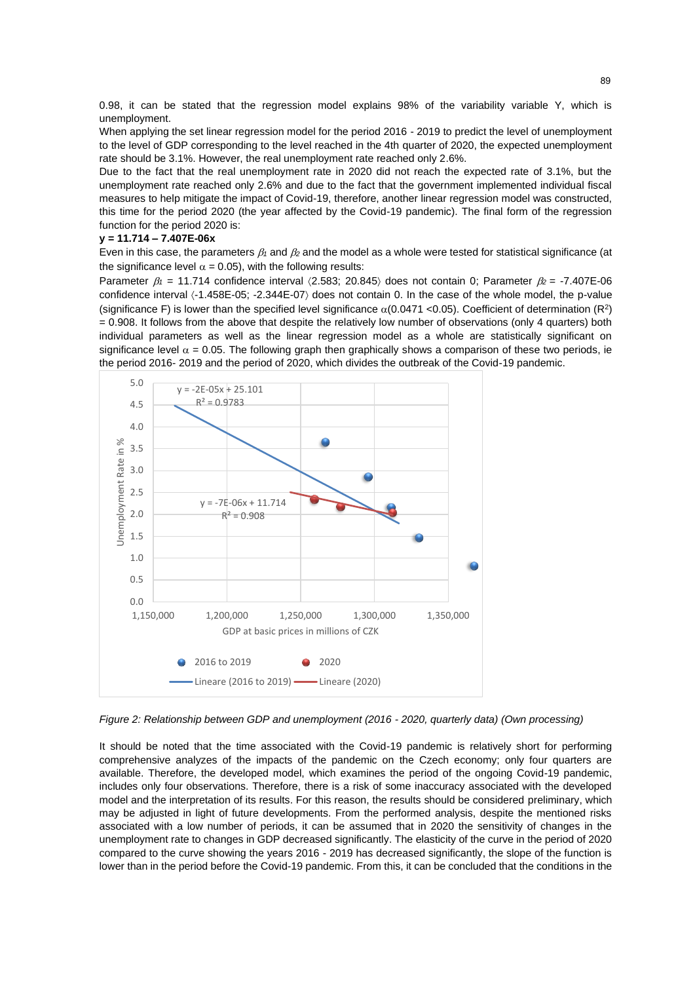0.98, it can be stated that the regression model explains 98% of the variability variable Y, which is unemployment.

When applying the set linear regression model for the period 2016 - 2019 to predict the level of unemployment to the level of GDP corresponding to the level reached in the 4th quarter of 2020, the expected unemployment rate should be 3.1%. However, the real unemployment rate reached only 2.6%.

Due to the fact that the real unemployment rate in 2020 did not reach the expected rate of 3.1%, but the unemployment rate reached only 2.6% and due to the fact that the government implemented individual fiscal measures to help mitigate the impact of Covid-19, therefore, another linear regression model was constructed, this time for the period 2020 (the year affected by the Covid-19 pandemic). The final form of the regression function for the period 2020 is:

## **y = 11.714 – 7.407E-06x**

Even in this case, the parameters  $\beta_1$  and  $\beta_2$  and the model as a whole were tested for statistical significance (at the significance level  $\alpha$  = 0.05), with the following results:

Parameter  $\beta_1$  = 11.714 confidence interval  $\langle 2.583; 20.845 \rangle$  does not contain 0; Parameter  $\beta_2$  = -7.407E-06 confidence interval  $\langle -1.458E-05; -2.344E-07 \rangle$  does not contain 0. In the case of the whole model, the p-value (significance F) is lower than the specified level significance  $\alpha(0.0471 \le 0.05)$ . Coefficient of determination (R<sup>2</sup>) = 0.908. It follows from the above that despite the relatively low number of observations (only 4 quarters) both individual parameters as well as the linear regression model as a whole are statistically significant on significance level  $\alpha$  = 0.05. The following graph then graphically shows a comparison of these two periods, ie the period 2016- 2019 and the period of 2020, which divides the outbreak of the Covid-19 pandemic.



*Figure 2: Relationship between GDP and unemployment (2016 - 2020, quarterly data) (Own processing)*

It should be noted that the time associated with the Covid-19 pandemic is relatively short for performing comprehensive analyzes of the impacts of the pandemic on the Czech economy; only four quarters are available. Therefore, the developed model, which examines the period of the ongoing Covid-19 pandemic, includes only four observations. Therefore, there is a risk of some inaccuracy associated with the developed model and the interpretation of its results. For this reason, the results should be considered preliminary, which may be adjusted in light of future developments. From the performed analysis, despite the mentioned risks associated with a low number of periods, it can be assumed that in 2020 the sensitivity of changes in the unemployment rate to changes in GDP decreased significantly. The elasticity of the curve in the period of 2020 compared to the curve showing the years 2016 - 2019 has decreased significantly, the slope of the function is lower than in the period before the Covid-19 pandemic. From this, it can be concluded that the conditions in the